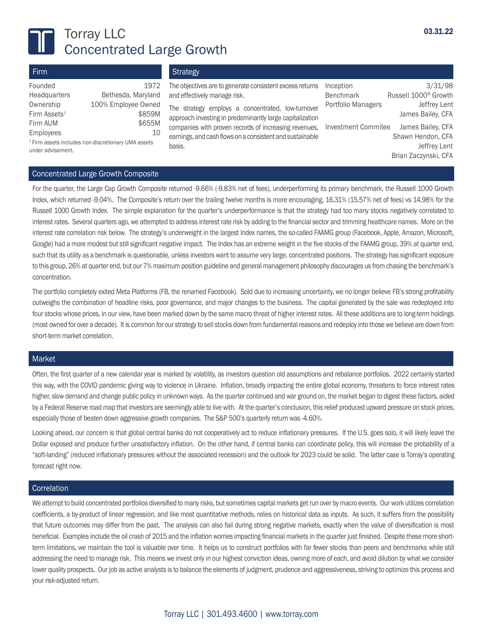

# Torray LLC Concentrated Large Growth

| Firm                                                                                |                            | Strategy                                                                                                          |                               |                                             |  |
|-------------------------------------------------------------------------------------|----------------------------|-------------------------------------------------------------------------------------------------------------------|-------------------------------|---------------------------------------------|--|
| Founded<br>Headquarters                                                             | 1972<br>Bethesda, Maryland | The objectives are to generate consistent excess returns<br>and effectively manage risk.                          | Inception<br><b>Benchmark</b> | 3/31/98<br>Russell 1000 <sup>®</sup> Growth |  |
| Ownership                                                                           | 100% Employee Owned        | The strategy employs a concentrated, low-turnover                                                                 | Portfolio Managers            | Jeffrey Lent                                |  |
| Firm Assets <sup>1</sup><br>Firm AUM                                                | \$859M<br>\$655M           | approach investing in predominantly large capitalization                                                          |                               | James Bailey, CFA                           |  |
| Employees                                                                           | 10                         | companies with proven records of increasing revenues,<br>earnings, and cash flows on a consistent and sustainable | <b>Investment Commitee</b>    | James Bailey, CFA<br>Shawn Hendon, CFA      |  |
| <sup>1</sup> Firm assets includes non-discretionary UMA assets<br>under advisement. |                            | basis.                                                                                                            | Jeffrey Lent                  |                                             |  |
|                                                                                     |                            |                                                                                                                   |                               | Brian Zaczynski, CFA                        |  |

#### Concentrated Large Growth Composite

For the quarter, the Large Cap Growth Composite returned -9.66% (-9.83% net of fees), underperforming its primary benchmark, the Russell 1000 Growth Index, which returned -9.04%. The Composite's return over the trailing twelve months is more encouraging, 16.31% (15.57% net of fees) vs 14.98% for the Russell 1000 Growth Index. The simple explanation for the quarter's underperformance is that the strategy had too many stocks negatively correlated to interest rates. Several quarters ago, we attempted to address interest rate risk by adding to the financial sector and trimming healthcare names. More on the interest rate correlation risk below. The strategy's underweight in the largest Index names, the so-called FAAMG group (Facebook, Apple, Amazon, Microsoft, Google) had a more modest but still significant negative impact. The Index has an extreme weight in the five stocks of the FAAMG group, 39% at quarter end, such that its utility as a benchmark is questionable, unless investors want to assume very large, concentrated positions. The strategy has significant exposure to this group, 26% at quarter end, but our 7% maximum position guideline and general management philosophy discourages us from chasing the benchmark's concentration.

The portfolio completely exited Meta Platforms (FB, the renamed Facebook). Sold due to increasing uncertainty, we no longer believe FB's strong profitability outweighs the combination of headline risks, poor governance, and major changes to the business. The capital generated by the sale was redeployed into four stocks whose prices, in our view, have been marked down by the same macro threat of higher interest rates. All these additions are to long-term holdings (most owned for over a decade). It is common for our strategy to sell stocks down from fundamental reasons and redeploy into those we believe are down from short-term market correlation.

#### Market

Often, the first quarter of a new calendar year is marked by volatility, as investors question old assumptions and rebalance portfolios. 2022 certainly started this way, with the COVID pandemic giving way to violence in Ukraine. Inflation, broadly impacting the entire global economy, threatens to force interest rates higher, slow demand and change public policy in unknown ways. As the quarter continued and war ground on, the market began to digest these factors, aided by a Federal Reserve road map that investors are seemingly able to live with. At the quarter's conclusion, this relief produced upward pressure on stock prices, especially those of beaten down aggressive growth companies. The S&P 500's quarterly return was -4.60%.

Looking ahead, our concern is that global central banks do not cooperatively act to reduce inflationary pressures. If the U.S. goes solo, it will likely leave the Dollar exposed and produce further unsatisfactory inflation. On the other hand, if central banks can coordinate policy, this will increase the probability of a "soft-landing" (reduced inflationary pressures without the associated recession) and the outlook for 2023 could be solid. The latter case is Torray's operating forecast right now.

#### **Correlation**

We attempt to build concentrated portfolios diversified to many risks, but sometimes capital markets get run over by macro events. Our work utilizes correlation coefficients, a by-product of linear regression, and like most quantitative methods, relies on historical data as inputs. As such, it suffers from the possibility that future outcomes may differ from the past. The analysis can also fail during strong negative markets, exactly when the value of diversification is most beneficial. Examples include the oil crash of 2015 and the inflation worries impacting financial markets in the quarter just finished. Despite these more shortterm limitations, we maintain the tool is valuable over time. It helps us to construct portfolios with far fewer stocks than peers and benchmarks while still addressing the need to manage risk. This means we invest only in our highest conviction ideas, owning more of each, and avoid dilution by what we consider lower quality prospects. Our job as active analysts is to balance the elements of judgment, prudence and aggressiveness, striving to optimize this process and your risk-adjusted return.

# Torray LLC | 301.493.4600 | www.torray.com